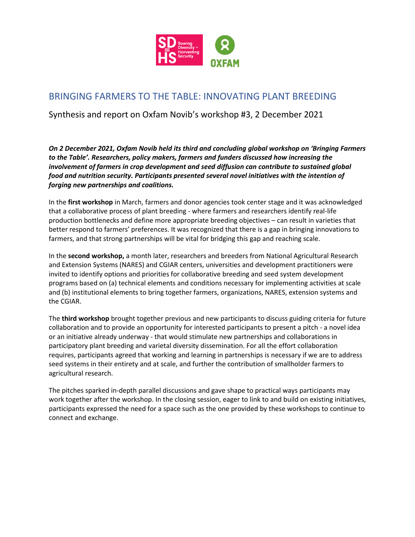

# BRINGING FARMERS TO THE TABLE: INNOVATING PLANT BREEDING

Synthesis and report on Oxfam Novib's workshop #3, 2 December 2021

*On 2 December 2021, Oxfam Novib held its third and concluding global workshop on 'Bringing Farmers to the Table'. Researchers, policy makers, farmers and funders discussed how increasing the involvement of farmers in crop development and seed diffusion can contribute to sustained global food and nutrition security. Participants presented several novel initiatives with the intention of forging new partnerships and coalitions.*

In the **first workshop** in March, farmers and donor agencies took center stage and it was acknowledged that a collaborative process of plant breeding - where farmers and researchers identify real-life production bottlenecks and define more appropriate breeding objectives – can result in varieties that better respond to farmers' preferences. It was recognized that there is a gap in bringing innovations to farmers, and that strong partnerships will be vital for bridging this gap and reaching scale.

In the **second workshop,** a month later, researchers and breeders from National Agricultural Research and Extension Systems (NARES) and CGIAR centers, universities and development practitioners were invited to identify options and priorities for collaborative breeding and seed system development programs based on (a) technical elements and conditions necessary for implementing activities at scale and (b) institutional elements to bring together farmers, organizations, NARES, extension systems and the CGIAR.

The **third workshop** brought together previous and new participants to discuss guiding criteria for future collaboration and to provide an opportunity for interested participants to present a pitch - a novel idea or an initiative already underway - that would stimulate new partnerships and collaborations in participatory plant breeding and varietal diversity dissemination. For all the effort collaboration requires, participants agreed that working and learning in partnerships is necessary if we are to address seed systems in their entirety and at scale, and further the contribution of smallholder farmers to agricultural research.

The pitches sparked in-depth parallel discussions and gave shape to practical ways participants may work together after the workshop. In the closing session, eager to link to and build on existing initiatives, participants expressed the need for a space such as the one provided by these workshops to continue to connect and exchange.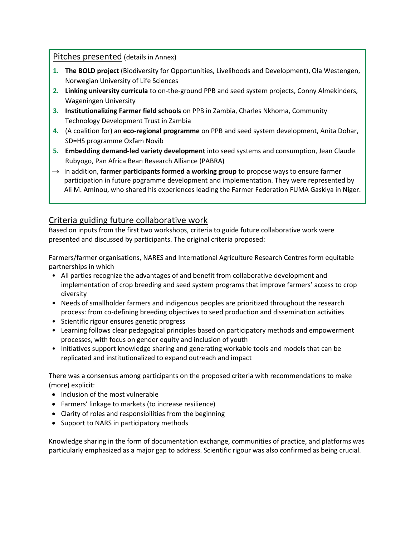Pitches presented (details in Annex)

- **1. The BOLD project** (Biodiversity for Opportunities, Livelihoods and Development), Ola Westengen, Norwegian University of Life Sciences
- **2. Linking university curricula** to on-the-ground PPB and seed system projects, Conny Almekinders, Wageningen University
- **3. Institutionalizing Farmer field schools** on PPB in Zambia, Charles Nkhoma, Community Technology Development Trust in Zambia
- **4.** (A coalition for) an **eco-regional programme** on PPB and seed system development, Anita Dohar, SD=HS programme Oxfam Novib
- **5. Embedding demand-led variety development** into seed systems and consumption, Jean Claude Rubyogo, Pan Africa Bean Research Alliance (PABRA)
- → In addition, **farmer participants formed a working group** to propose ways to ensure farmer participation in future pogramme development and implementation. They were represented by Ali M. Aminou, who shared his experiences leading the Farmer Federation FUMA Gaskiya in Niger.

# Criteria guiding future collaborative work

Based on inputs from the first two workshops, criteria to guide future collaborative work were presented and discussed by participants. The original criteria proposed:

Farmers/farmer organisations, NARES and International Agriculture Research Centres form equitable partnerships in which

- All parties recognize the advantages of and benefit from collaborative development and implementation of crop breeding and seed system programs that improve farmers' access to crop diversity
- Needs of smallholder farmers and indigenous peoples are prioritized throughout the research process: from co-defining breeding objectives to seed production and dissemination activities
- Scientific rigour ensures genetic progress
- Learning follows clear pedagogical principles based on participatory methods and empowerment processes, with focus on gender equity and inclusion of youth
- Initiatives support knowledge sharing and generating workable tools and models that can be replicated and institutionalized to expand outreach and impact

There was a consensus among participants on the proposed criteria with recommendations to make (more) explicit:

- Inclusion of the most vulnerable
- Farmers' linkage to markets (to increase resilience)
- Clarity of roles and responsibilities from the beginning
- Support to NARS in participatory methods

Knowledge sharing in the form of documentation exchange, communities of practice, and platforms was particularly emphasized as a major gap to address. Scientific rigour was also confirmed as being crucial.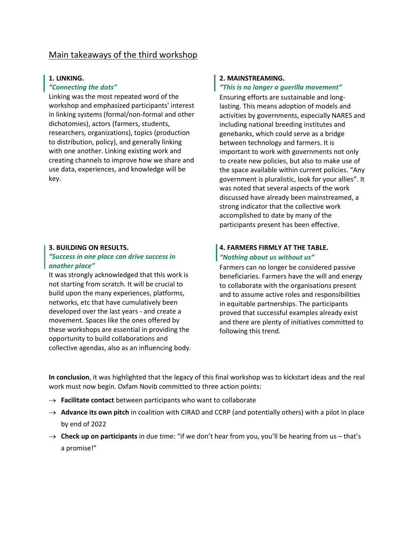# Main takeaways of the third workshop

#### **1. LINKING.**

#### *"Connecting the dots"*

Linking was the most repeated word of the workshop and emphasized participants' interest in linking systems (formal/non-formal and other dichotomies), actors (farmers, students, researchers, organizations), topics (production to distribution, policy), and generally linking with one another. Linking existing work and creating channels to improve how we share and use data, experiences, and knowledge will be key.

#### **3. BUILDING ON RESULTS.**

#### *"Success in one place can drive success in another place"*

It was strongly acknowledged that this work is not starting from scratch. It will be crucial to build upon the many experiences, platforms, networks, etc that have cumulatively been developed over the last years - and create a movement. Spaces like the ones offered by these workshops are essential in providing the opportunity to build collaborations and collective agendas, also as an influencing body.

#### **2. MAINSTREAMING.**

# *"This is no longer a guerilla movement"*

Ensuring efforts are sustainable and longlasting. This means adoption of models and activities by governments, especially NARES and including national breeding institutes and genebanks, which could serve as a bridge between technology and farmers. It is important to work with governments not only to create new policies, but also to make use of the space available within current policies. "Any government is pluralistic, look for your allies". It was noted that several aspects of the work discussed have already been mainstreamed, a strong indicator that the collective work accomplished to date by many of the participants present has been effective.

## **4. FARMERS FIRMLY AT THE TABLE.** *"Nothing about us without us"*

Farmers can no longer be considered passive beneficiaries. Farmers have the will and energy to collaborate with the organisations present and to assume active roles and responsibilities in equitable partnerships. The participants proved that successful examples already exist and there are plenty of initiatives committed to following this trend.

**In conclusion**, it was highlighted that the legacy of this final workshop was to kickstart ideas and the real work must now begin. Oxfam Novib committed to three action points:

- $\rightarrow$  **Facilitate contact** between participants who want to collaborate
- → **Advance its own pitch** in coalition with CIRAD and CCRP (and potentially others) with a pilot in place by end of 2022
- → **Check up on participants** in due time: "if we don't hear from you, you'll be hearing from us that's a promise!"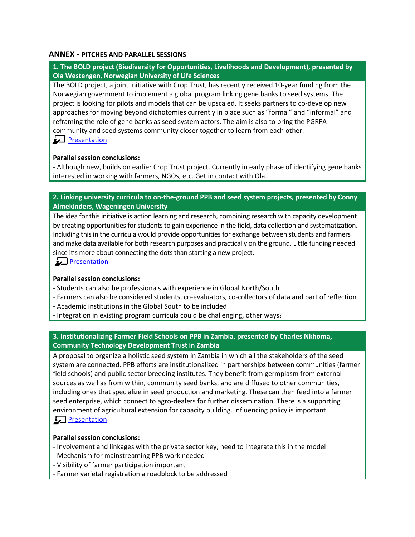#### **ANNEX - PITCHES AND PARALLEL SESSIONS**

## **1. The BOLD project (Biodiversity for Opportunities, Livelihoods and Development), presented by Ola Westengen, Norwegian University of Life Sciences**

The BOLD project, a joint initiative with Crop Trust, has recently received 10-year funding from the Norwegian government to implement a global program linking gene banks to seed systems. The project is looking for pilots and models that can be upscaled. It seeks partners to co-develop new approaches for moving beyond dichotomies currently in place such as "formal" and "informal" and reframing the role of gene banks as seed system actors. The aim is also to bring the PGRFA community and seed systems community closer together to learn from each other.

## <u>Presentation</u>

#### **Parallel session conclusions:**

- Although new, builds on earlier Crop Trust project. Currently in early phase of identifying gene banks interested in working with farmers, NGOs, etc. Get in contact with Ola.

#### **2. Linking university curricula to on-the-ground PPB and seed system projects, presented by Conny Almekinders, Wageningen University**

The idea for this initiative is action learning and research, combining research with capacity development by creating opportunities for students to gain experience in the field, data collection and systematization. Including this in the curricula would provide opportunities for exchange between students and farmers and make data available for both research purposes and practically on the ground. Little funding needed since it's more about connecting the dots than starting a new project.

**[Presentation](https://oxfam.box.com/s/i6lulc7xhgzu3gkh6x7vtsp8rb1lsx2j)** 

#### **Parallel session conclusions:**

- Students can also be professionals with experience in Global North/South
- Farmers can also be considered students, co-evaluators, co-collectors of data and part of reflection
- Academic institutions in the Global South to be included
- Integration in existing program curricula could be challenging, other ways?

## **3. Institutionalizing Farmer Field Schools on PPB in Zambia, presented by Charles Nkhoma, Community Technology Development Trust in Zambia**

A proposal to organize a holistic seed system in Zambia in which all the stakeholders of the seed system are connected. PPB efforts are institutionalized in partnerships between communities (farmer field schools) and public sector breeding institutes. They benefit from germplasm from external sources as well as from within, community seed banks, and are diffused to other communities, including ones that specialize in seed production and marketing. These can then feed into a farmer seed enterprise, which connect to agro-dealers for further dissemination. There is a supporting environment of agricultural extension for capacity building. Influencing policy is important. **Presentation** 

#### **Parallel session conclusions:**

- Involvement and linkages with the private sector key, need to integrate this in the model
- Mechanism for mainstreaming PPB work needed
- Visibility of farmer participation important
- Farmer varietal registration a roadblock to be addressed